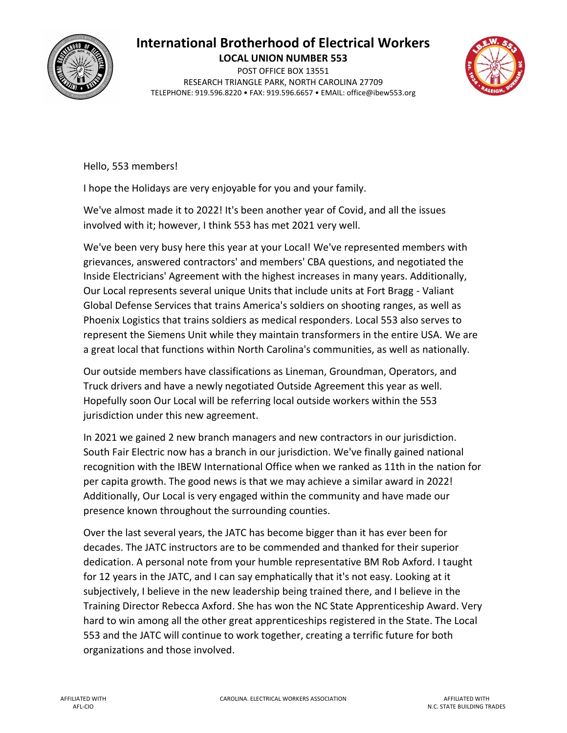## **International Brotherhood of Electrical Workers**



**LOCAL UNION NUMBER 553** POST OFFICE BOX 13551 RESEARCH TRIANGLE PARK, NORTH CAROLINA 27709 TELEPHONE: 919.596.8220 • FAX: 919.596.6657 • EMAIL: office@ibew553.org



Hello, 553 members!

I hope the Holidays are very enjoyable for you and your family.

We've almost made it to 2022! It's been another year of Covid, and all the issues involved with it; however, I think 553 has met 2021 very well.

We've been very busy here this year at your Local! We've represented members with grievances, answered contractors' and members' CBA questions, and negotiated the Inside Electricians' Agreement with the highest increases in many years. Additionally, Our Local represents several unique Units that include units at Fort Bragg - Valiant Global Defense Services that trains America's soldiers on shooting ranges, as well as Phoenix Logistics that trains soldiers as medical responders. Local 553 also serves to represent the Siemens Unit while they maintain transformers in the entire USA. We are a great local that functions within North Carolina's communities, as well as nationally.

Our outside members have classifications as Lineman, Groundman, Operators, and Truck drivers and have a newly negotiated Outside Agreement this year as well. Hopefully soon Our Local will be referring local outside workers within the 553 jurisdiction under this new agreement.

In 2021 we gained 2 new branch managers and new contractors in our jurisdiction. South Fair Electric now has a branch in our jurisdiction. We've finally gained national recognition with the IBEW International Office when we ranked as 11th in the nation for per capita growth. The good news is that we may achieve a similar award in 2022! Additionally, Our Local is very engaged within the community and have made our presence known throughout the surrounding counties.

Over the last several years, the JATC has become bigger than it has ever been for decades. The JATC instructors are to be commended and thanked for their superior dedication. A personal note from your humble representative BM Rob Axford. I taught for 12 years in the JATC, and I can say emphatically that it's not easy. Looking at it subjectively, I believe in the new leadership being trained there, and I believe in the Training Director Rebecca Axford. She has won the NC State Apprenticeship Award. Very hard to win among all the other great apprenticeships registered in the State. The Local 553 and the JATC will continue to work together, creating a terrific future for both organizations and those involved.